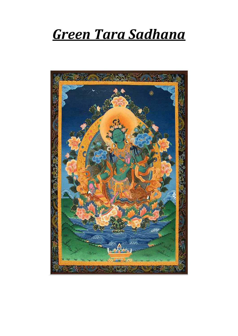# *Green Tara Sadhana*

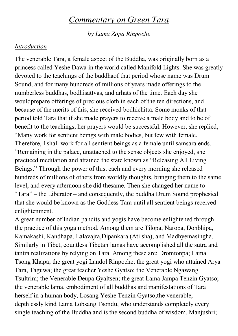## *Commentary on Green Tara*

*by Lama Zopa Rinpoche*

#### *Introduction*

The venerable Tara, a female aspect of the Buddha, was originally born as a princess called Yeshe Dawa in the world called Manifold Lights. She was greatly devoted to the teachings of the buddhaof that period whose name was Drum Sound, and for many hundreds of millions of years made offerings to the numberless buddhas, bodhisattvas, and arhats of the time. Each day she wouldprepare offerings of precious cloth in each of the ten directions, and because of the merits of this, she received bodhichitta. Some monks of that period told Tara that if she made prayers to receive a male body and to be of benefit to the teachings, her prayers would be successful. However, she replied, "Many work for sentient beings with male bodies, but few with female. Therefore, I shall work for all sentient beings as a female until samsara ends. "Remaining in the palace, unattached to the sense objects she enjoyed, she practiced meditation and attained the state known as "Releasing All Living Beings." Through the power of this, each and every morning she released hundreds of millions of others from worldly thoughts, bringing them to the same level, and every afternoon she did thesame. Then she changed her name to "Tara" – the Liberator – and consequently, the buddha Drum Sound prophesied that she would be known as the Goddess Tara until all sentient beings received enlightenment.

A great number of Indian pandits and yogis have become enlightened through the practice of this yoga method. Among them are Tilopa, Naropa, Donbhipa, Kamakashi, Kandhapa, Lalavajra,Dipankara (Ati sha), and Madhyemasingha. Similarly in Tibet, countless Tibetan lamas have accomplished all the sutra and tantra realizations by relying on Tara. Among these are: Dromtonpa; Lama Tsong Khapa; the great yogi Landol Rinpoche; the great yogi who attained Arya Tara, Taguwa; the great teacher Yeshe Gyatso; the Venerable Ngawang Tsultrim; the Venerable Deupa Gyaltsen; the great Lama Jampa Tenzin Gyatso; the venerable lama, embodiment of all buddhas and manifestations of Tara herself in a human body, Losang Yeshe Tenzin Gyatso;the venerable, depthlessly kind Lama Lobsang Tsondu, who understands completely every single teaching of the Buddha and is the second buddha of wisdom, Manjushri;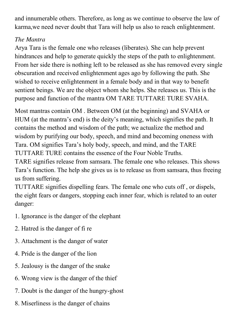and innumerable others. Therefore, as long as we continue to observe the law of karma,we need never doubt that Tara will help us also to reach enlightenment.

#### *The Mantra*

Arya Tara is the female one who releases (liberates). She can help prevent hindrances and help to generate quickly the steps of the path to enlightenment. From her side there is nothing left to be released as she has removed every single obscuration and received enlightenment ages ago by following the path. She wished to receive enlightenment in a female body and in that way to benefit sentient beings. We are the object whom she helps. She releases us. This is the purpose and function of the mantra OM TARE TUTTARE TURE SVAHA.

Most mantras contain OM . Between OM (at the beginning) and SVAHA or HUM (at the mantra's end) is the deity's meaning, which signifies the path. It contains the method and wisdom of the path; we actualize the method and wisdom by purifying our body, speech, and mind and becoming oneness with Tara. OM signifies Tara's holy body, speech, and mind, and the TARE TUTTARE TURE contains the essence of the Four Noble Truths. TARE signifies release from samsara. The female one who releases. This shows

Tara's function. The help she gives us is to release us from samsara, thus freeing us from suffering.

TUTTARE signifies dispelling fears. The female one who cuts off , or dispels, the eight fears or dangers, stopping each inner fear, which is related to an outer danger:

- 1. Ignorance is the danger of the elephant
- 2. Hatred is the danger of fi re
- 3. Attachment is the danger of water
- 4. Pride is the danger of the lion
- 5. Jealousy is the danger of the snake
- 6. Wrong view is the danger of the thief
- 7. Doubt is the danger of the hungry-ghost
- 8. Miserliness is the danger of chains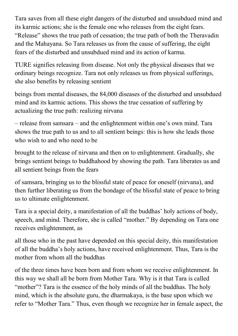Tara saves from all these eight dangers of the disturbed and unsubdued mind and its karmic actions; she is the female one who releases from the eight fears. "Release" shows the true path of cessation; the true path of both the Theravadin and the Mahayana. So Tara releases us from the cause of suffering, the eight fears of the disturbed and unsubdued mind and its action of karma.

TURE signifies releasing from disease. Not only the physical diseases that we ordinary beings recognize. Tara not only releases us from physical sufferings, she also benefits by releasing sentient

beings from mental diseases, the 84,000 diseases of the disturbed and unsubdued mind and its karmic actions. This shows the true cessation of suffering by actualizing the true path: realizing nirvana

– release from samsara – and the enlightenment within one's own mind. Tara shows the true path to us and to all sentient beings: this is how she leads those who wish to and who need to be

brought to the release of nirvana and then on to enlightenment. Gradually, she brings sentient beings to buddhahood by showing the path. Tara liberates us and all sentient beings from the fears

of samsara, bringing us to the blissful state of peace for oneself (nirvana), and then further liberating us from the bondage of the blissful state of peace to bring us to ultimate enlightenment.

Tara is a special deity, a manifestation of all the buddhas' holy actions of body, speech, and mind. Therefore, she is called "mother." By depending on Tara one receives enlightenment, as

all those who in the past have depended on this special deity, this manifestation of all the buddha's holy actions, have received enlightenment. Thus, Tara is the mother from whom all the buddhas

of the three times have been born and from whom we receive enlightenment. In this way we shall all be born from Mother Tara. Why is it that Tara is called "mother"? Tara is the essence of the holy minds of all the buddhas. The holy mind, which is the absolute guru, the dharmakaya, is the base upon which we refer to "Mother Tara." Thus, even though we recognize her in female aspect, the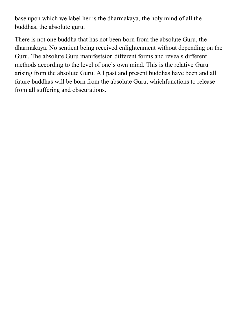base upon which we label her is the dharmakaya, the holy mind of all the buddhas, the absolute guru.

There is not one buddha that has not been born from the absolute Guru, the dharmakaya. No sentient being received enlightenment without depending on the Guru. The absolute Guru manifestsion different forms and reveals different methods according to the level of one's own mind. This is the relative Guru arising from the absolute Guru. All past and present buddhas have been and all future buddhas will be born from the absolute Guru, whichfunctions to release from all suffering and obscurations.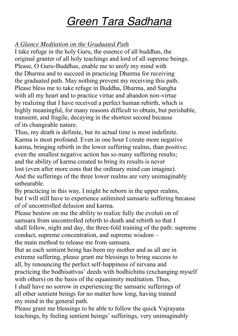## *Green Tara Sadhana*

#### *A Glance Meditation on the Graduated Path*

I take refuge in the holy Guru, the essence of all buddhas, the original granter of all holy teachings and lord of all supreme beings. Please, O Guru-Buddhas, enable me to unify my mind with the Dharma and to succeed in practicing Dharma for receiving the graduated path. May nothing prevent my receiving this path. Please bless me to take refuge in Buddha, Dharma, and Sangha with all my heart and to practice virtue and abandon non-virtue by realizing that I have received a perfect human rebirth, which is highly meaningful, for many reasons difficult to obtain, but perishable, transient, and fragile, decaying in the shortest second because of its changeable nature.

Thus, my death is definite, but its actual time is most indefinite. Karma is most profound. Even in one hour I create more negative karma, bringing rebirth in the lower suffering realms, than positive; even the smallest negative action has so many suffering results; and the ability of karma created to bring its results is never lost (even after more eons that the ordinary mind can imagine). And the sufferings of the three lower realms are very unimaginably unbearable.

By practicing in this way, I might be reborn in the upper realms, but I will still have to experience unlimited samsaric suffering because of of uncontrolled delusion and karma.

Please bestow on me the ability to realize fully the evoluti on of samsara from uncontrolled rebirth to death and rebirth so that I shall follow, night and day, the three-fold training of the path: supreme conduct, supreme concentration, and supreme wisdom – the main method to release me from samsara.

But as each sentient being has been my mother and as all are in extreme suffering, please grant me blessings to bring success to all, by renouncing the perfect self-happiness of nirvana and

practicing the bodhisattvas' deeds with bodhichitta (exchanging myself with others) on the basis of the equanimity meditation. Thus,

I shall have no sorrow in experiencing the samsaric sufferings of all other sentient beings for no matter how long, having trained my mind in the general path.

Please grant me blessings to be able to follow the quick Vajrayana teachings, by feeling sentient beings' sufferings, very unimaginably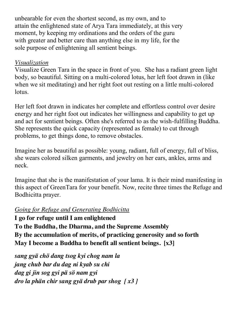unbearable for even the shortest second, as my own, and to attain the enlightened state of Arya Tara immediately, at this very moment, by keeping my ordinations and the orders of the guru with greater and better care than anything else in my life, for the sole purpose of enlightening all sentient beings.

#### *Visualization*

Visualize Green Tara in the space in front of you. She has a radiant green light body, so beautiful. Sitting on a multi-colored lotus, her left foot drawn in (like when we sit meditating) and her right foot out resting on a little multi-colored lotus.

Her left foot drawn in indicates her complete and effortless control over desire energy and her right foot out indicates her willingness and capability to get up and act for sentient beings. Often she's referred to as the wish-fulfilling Buddha. She represents the quick capacity (represented as female) to cut through problems, to get things done, to remove obstacles.

Imagine her as beautiful as possible: young, radiant, full of energy, full of bliss, she wears colored silken garments, and jewelry on her ears, ankles, arms and neck.

Imagine that she is the manifestation of your lama. It is their mind manifesting in this aspect of GreenTara for your benefit. Now, recite three times the Refuge and Bodhicitta prayer.

#### *Going for Refuge and Generating Bodhicitta*

**I go for refuge until I am enlightened To the Buddha, the Dharma, and the Supreme Assembly By the accumulation of merits, of practicing generosity and so forth May I become a Buddha to benefit all sentient beings. [x3]**

*sang gyä chö dang tsog kyi chog nam la jang chub bar du dag ni kyab su chi dag gi jin sog gyi pä sö nam gyi dro la phän chir sang gyä drub par shog [ x3 ]*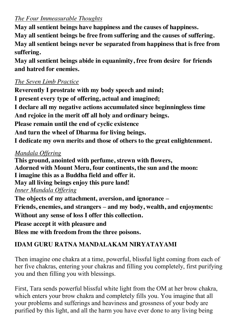#### *The Four Immeasurable Thoughts*

**May all sentient beings have happiness and the causes of happiness. May all sentient beings be free from suffering and the causes of suffering. May all sentient beings never be separated from happiness that is free from suffering.** 

**May all sentient beings abide in equanimity, free from desire for friends and hatred for enemies.**

#### *The Seven Limb Practice*

**Reverently I prostrate with my body speech and mind; I present every type of offering, actual and imagined; I declare all my negative actions accumulated since beginningless time And rejoice in the merit off all holy and ordinary beings. Please remain until the end of cyclic existence And turn the wheel of Dharma for living beings. I dedicate my own merits and those of others to the great enlightenment.**

#### *Mandala Offering*

**This ground, anointed with perfume, strewn with flowers, Adorned with Mount Meru, four continents, the sun and the moon: I imagine this as a Buddha field and offer it. May all living beings enjoy this pure land!** *Inner Mandala Offering* **The objects of my attachment, aversion, and ignorance – Friends, enemies, and strangers – and my body, wealth, and enjoyments: Without any sense of loss I offer this collection. Please accept it with pleasure and**

**Bless me with freedom from the three poisons.**

## **IDAM GURU RATNA MANDALAKAM NIRYATAYAMI**

Then imagine one chakra at a time, powerful, blissful light coming from each of her five chakras, entering your chakras and filling you completely, first purifying you and then filling you with blessings.

First, Tara sends powerful blissful white light from the OM at her brow chakra, which enters your brow chakra and completely fills you. You imagine that all your problems and sufferings and heaviness and grossness of your body are purified by this light, and all the harm you have ever done to any living being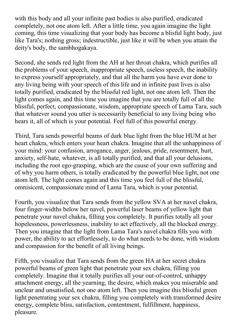with this body and all your infinite past bodies is also purified, eradicated completely, not one atom left. After a little time, you again imagine the light coming, this time visualizing that your body has become a blisful light body, just like Tara's; nothing gross; indestructible, just like it will be when you attain the deity's body, the sambhogakaya.

Second, she sends red light from the AH at her throat chakra, which purifies all the problems of your speech, inappropriate speech, useless speech, the inability to express yourself appropriately, and that all the harm you have ever done to any living being with your speech of this life and in infinite past lives is also totally purified, eradicated by the blissful red light, not one atom left. Then the light comes again, and this time you imagine that you are totally full of all the blissful, perfect, compassionate, wisdom, appropriate speech of Lama Tara, such that whatever sound you utter is necessarily beneficial to any living being who hears it, all of which is your potential. Feel full of this powerful energy.

Third, Tara sends powerful beams of dark blue light from the blue HUM at her heart chakra, which enters your heart chakra. Imagine that all the unhappiness of your mind: your confusion, arrogance, anger, jealous, pride, resentment, hurt, anxiety, self-hate, whatever, is all totally purified, and that all your delusions, including the root ego-grasping, which are the cause of your own suffering and of why you harm others, is totally eradicated by the powerful blue light, not one atom left. The light comes again and this time you feel full of the blissful, omnisicent, compassionate mind of Lama Tara, which is your potential.

Fourth, you visualize that Tara sends from the yellow SVA at her navel chakra, four finger-widths below her navel, powerful laser beams of yellow light that penetrate your navel chakra, filling you completely. It purifies totally all your hopelessness, powerlessness, inability to act effectively, all the blocked energy. Then you imagine that the light from Lama Tara's navel chakra fills you with power, the ability to act effortlessely, to do what needs to be done, with wisdom and compassion for the benefit of all living beings.

Fifth, you visualize that Tara sends from the green HA at her secret chakra powerful beams of green light that penetrate your sex chakra, filling you completely. Imagine that it totally purifies all your out-of-control, unhappy attachment energy, all the yearning, the desire, which makes you miserable and unclear and unsatisfied, not one atom left. Then you imagine this blissful green light penetrating your sex chakra, filling you completely with transformed desire energy, complete bliss, satisfaction, contentment, fulfillment, happiness, pleasure.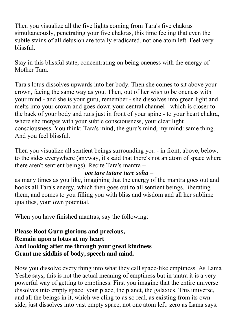Then you visualize all the five lights coming from Tara's five chakras simultaneously, penetrating your five chakras, this time feeling that even the subtle stains of all delusion are totally eradicated, not one atom left. Feel very blissful.

Stay in this blissful state, concentrating on being oneness with the energy of Mother Tara.

Tara's lotus dissolves upwards into her body. Then she comes to sit above your crown, facing the same way as you. Then, out of her wish to be oneness with your mind - and she is your guru, remember - she dissolves into green light and melts into your crown and goes down your central channel - which is closer to the back of your body and runs just in front of your spine - to your heart chakra, where she merges with your subtle consciousness, your clear light consciousness. You think: Tara's mind, the guru's mind, my mind: same thing. And you feel blissful.

Then you visualize all sentient beings surrounding you - in front, above, below, to the sides everywhere (anyway, it's said that there's not an atom of space where there aren't sentient beings). Recite Tara's mantra –

#### *om tare tutare ture soha* **–**

as many times as you like, imagining that the energy of the mantra goes out and hooks all Tara's energy, which then goes out to all sentient beings, liberating them, and comes to you filling you with bliss and wisdom and all her sublime qualities, your own potential.

When you have finished mantras, say the following:

#### **Please Root Guru glorious and precious, Remain upon a lotus at my heart And looking after me through your great kindness Grant me siddhis of body, speech and mind.**

Now you dissolve every thing into what they call space-like emptiness. As Lama Yeshe says, this is not the actual meaning of emptiness but in tantra it is a very powerful way of getting to emptiness. First you imagine that the entire universe dissolves into empty space: your place, the planet, the galaxies. This universe, and all the beings in it, which we cling to as so real, as existing from its own side, just dissolves into vast empty space, not one atom left: zero as Lama says.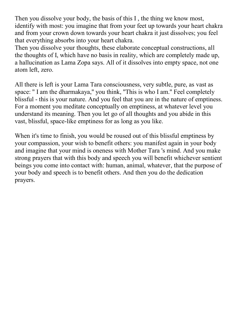Then you dissolve your body, the basis of this I , the thing we know most, identify with most: you imagine that from your feet up towards your heart chakra and from your crown down towards your heart chakra it just dissolves; you feel that everything absorbs into your heart chakra.

Then you dissolve your thoughts, these elaborate conceptual constructions, all the thoughts of I, which have no basis in reality, which are completely made up, a hallucination as Lama Zopa says. All of it dissolves into empty space, not one atom left, zero.

All there is left is your Lama Tara consciousness, very subtle, pure, as vast as space: '' I am the dharmakaya,'' you think, ''This is who I am.'' Feel completely blissful - this is your nature. And you feel that you are in the nature of emptiness. For a moment you meditate conceptually on emptiness, at whatever level you understand its meaning. Then you let go of all thoughts and you abide in this vast, blissful, space-like emptiness for as long as you like.

When it's time to finish, you would be roused out of this blissful emptiness by your compassion, your wish to benefit others: you manifest again in your body and imagine that your mind is oneness with Mother Tara 's mind. And you make strong prayers that with this body and speech you will benefit whichever sentient beings you come into contact with: human, animal, whatever, that the purpose of your body and speech is to benefit others. And then you do the dedication prayers.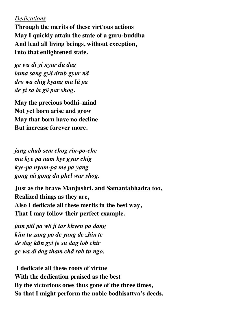#### *Dedications*

**Through the merits of these virt**ו**ous actions May I quickly attain the state of a guru-buddha And lead all living beings, without exception, Into that enlightened state.**

*ge wa di yi nyur du dag lama sang gyä drub gyur nä dro wa chig kyang ma lü pa de yi sa la gö par shog.*

**May the precious bodhi–mind Not yet born arise and grow May that born have no decline But increase forever more.**

*jang chub sem chog rin-po-che ma kye pa nam kye gyur chig kye-pa nyam-pa me pa yang gong nä gong du phel war shog.*

**Just as the brave Manjushri, and Samantabhadra too, Realized things as they are, Also I dedicate all these merits in the best way, That I may follow their perfect example.**

*jam päl pa wö ji tar khyen pa dang kün tu zang po de yang de zhin te de dag kün gyi je su dag lob chir ge wa di dag tham chä rab tu ngo.*

**I dedicate all these roots of virtue With the dedication praised as the best By the victorious ones thus gone of the three times, So that I might perform the noble bodhisattva's deeds.**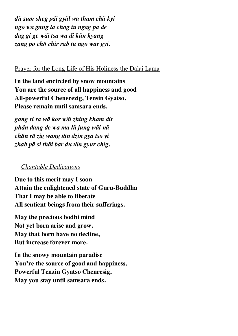*dü sum sheg päi gyäl wa tham chä kyi ngo wa gang la chog tu ngag pa de dag gi ge wäi tsa wa di kün kyang zang po chö chir rab tu ngo war gyi.*

#### Prayer for the Long Life of His Holiness the Dalai Lama

**In the land encircled by snow mountains You are the source of all happiness and good All-powerful Chenerezig, Tensin Gyatso, Please remain until samsara ends.**

*gang ri ra wä kor wäi zhing kham dir phän dang de wa ma lü jung wäi nä chän rä zig wang tän dzin gya tso yi zhab pä si thäi bar du tän gyur chig.*

#### *Chantable Dedications*

**Due to this merit may I soon Attain the enlightened state of Guru-Buddha That I may be able to liberate All sentient beings from their sufferings.**

**May the precious bodhi mind Not yet born arise and grow. May that born have no decline, But increase forever more.**

**In the snowy mountain paradise You're the source of good and happiness, Powerful Tenzin Gyatso Chenresig, May you stay until samsara ends.**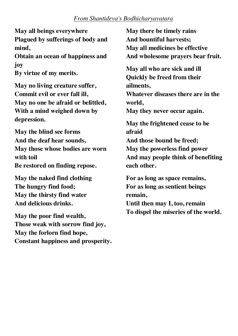#### *From Shantideva's Bodhicharyavatara*

**May all beings everywhere Plagued by sufferings of body and mind,** 

**Obtain an ocean of happiness and joy By virtue of my merits.**

**May no living creature suffer, Commit evil or ever fall ill, May no one be afraid or belittled, With a mind weighed down by depression.**

**May the blind see forms And the deaf hear sounds, May those whose bodies are worn with toil Be restored on finding repose.**

**May the naked find clothing The hungry find food; May the thirsty find water And delicious drinks.**

**May the poor find wealth, Those weak with sorrow find joy, May the forlorn find hope, Constant happiness and prosperity.** **May there be timely rains And bountiful harvests; May all medicines be effective And wholesome prayers bear fruit.**

**May all who are sick and ill Quickly be freed from their ailments,** 

**Whatever diseases there are in the world,** 

**May they never occur again.**

**May the frightened cease to be afraid** 

**And those bound be freed; May the powerless find power And may people think of benefiting each other.**

**For as long as space remains, For as long as sentient beings remain, Until then may I, too, remain To dispel the miseries of the world.**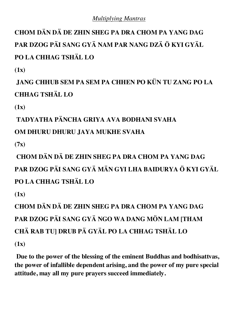#### *Multiplying Mantras*

**CHOM DÄN DÄ DE ZHIN SHEG PA DRA CHOM PA YANG DAG PAR DZOG PÄI SANG GYÄ NAM PAR NANG DZÄ Ö KYI GYÄL PO LA CHHAG TSHÄL LO**

**(1x)**

**JANG CHHUB SEM PA SEM PA CHHEN PO KÜN TU ZANG PO LA CHHAG TSHÄL LO**

**(1x)**

**TADYATHA PÄNCHA GRIYA AVA BODHANI SVAHA** 

**OM DHURU DHURU JAYA MUKHE SVAHA** 

**(7x)** 

**CHOM DÄN DÄ DE ZHIN SHEG PA DRA CHOM PA YANG DAG PAR DZOG PÄI SANG GYÄ MÄN GYI LHA BAIDURYA Ö KYI GYÄL PO LA CHHAG TSHÄL LO** 

**(1x)** 

**CHOM DÄN DÄ DE ZHIN SHEG PA DRA CHOM PA YANG DAG PAR DZOG PÄI SANG GYÄ NGO WA DANG MÖN LAM [THAM CHÄ RAB TU] DRUB PÄ GYÄL PO LA CHHAG TSHÄL LO** 

**(1x)** 

**Due to the power of the blessing of the eminent Buddhas and bodhisattvas, the power of infallible dependent arising, and the power of my pure special attitude, may all my pure prayers succeed immediately.**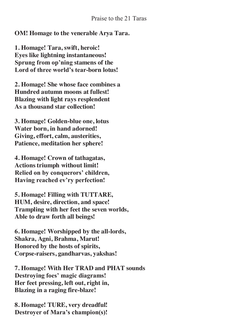**OM! Homage to the venerable Arya Tara.**

**1. Homage! Tara, swift, heroic! Eyes like lightning instantaneous! Sprung from op'ning stamens of the Lord of three world's tear-born lotus!**

**2. Homage! She whose face combines a Hundred autumn moons at fullest! Blazing with light rays resplendent As a thousand star collection!**

**3. Homage! Golden-blue one, lotus Water born, in hand adorned! Giving, effort, calm, austerities, Patience, meditation her sphere!**

**4. Homage! Crown of tathagatas, Actions triumph without limit! Relied on by conquerors' children, Having reached ev'ry perfection!**

**5. Homage! Filling with TUTTARE, HUM, desire, direction, and space! Trampling with her feet the seven worlds, Able to draw forth all beings!**

**6. Homage! Worshipped by the all-lords, Shakra, Agni, Brahma, Marut! Honored by the hosts of spirits, Corpse-raisers, gandharvas, yakshas!**

**7. Homage! With Her TRAD and PHAT sounds Destroying foes' magic diagrams! Her feet pressing, left out, right in, Blazing in a raging fire-blaze!**

**8. Homage! TURE, very dreadful! Destroyer of Mara's champion(s)!**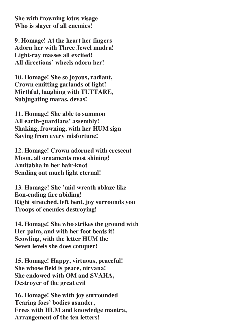**She with frowning lotus visage Who is slayer of all enemies!**

**9. Homage! At the heart her fingers Adorn her with Three Jewel mudra! Light-ray masses all excited! All directions' wheels adorn her!**

**10. Homage! She so joyous, radiant, Crown emitting garlands of light! Mirthful, laughing with TUTTARE, Subjugating maras, devas!**

**11. Homage! She able to summon All earth-guardians' assembly! Shaking, frowning, with her HUM sign Saving from every misfortune!**

**12. Homage! Crown adorned with crescent Moon, all ornaments most shining! Amitabha in her hair-knot Sending out much light eternal!**

**13. Homage! She 'mid wreath ablaze like Eon-ending fire abiding! Right stretched, left bent, joy surrounds you Troops of enemies destroying!**

**14. Homage! She who strikes the ground with Her palm, and with her foot beats it! Scowling, with the letter HUM the Seven levels she does conquer!**

**15. Homage! Happy, virtuous, peaceful! She whose field is peace, nirvana! She endowed with OM and SVAHA, Destroyer of the great evil**

**16. Homage! She with joy surrounded Tearing foes' bodies asunder, Frees with HUM and knowledge mantra, Arrangement of the ten letters!**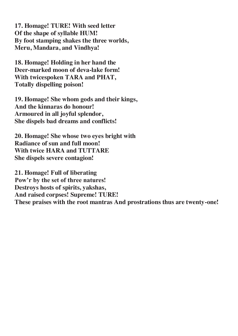**17. Homage! TURE! With seed letter Of the shape of syllable HUM! By foot stamping shakes the three worlds, Meru, Mandara, and Vindhya!**

**18. Homage! Holding in her hand the Deer-marked moon of deva-lake form! With twicespoken TARA and PHAT, Totally dispelling poison!**

**19. Homage! She whom gods and their kings, And the kinnaras do honour! Armoured in all joyful splendor, She dispels bad dreams and conflicts!**

**20. Homage! She whose two eyes bright with Radiance of sun and full moon! With twice HARA and TUTTARE She dispels severe contagion!**

**21. Homage! Full of liberating Pow'r by the set of three natures! Destroys hosts of spirits, yakshas, And raised corpses! Supreme! TURE! These praises with the root mantras And prostrations thus are twenty-one!**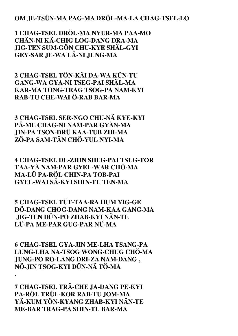#### **OM JE-TSÜN-MA PAG-MA DRÖL-MA-LA CHAG-TSEL-LO**

**1 CHAG-TSEL DRÖL-MA NYUR-MA PAA-MO CHÄN-NI KÄ-CHIG LOG-DANG DRA-MA JIG-TEN SUM-GÖN CHU-KYE SHÄL-GYI GEY-SAR JE-WA LÄ-NI JUNG-MA** 

**2 CHAG-TSEL TÖN-KÄI DA-WA KÜN-TU GANG-WA GYA-NI TSEG-PAI SHÄL-MA KAR-MA TONG-TRAG TSOG-PA NAM-KYI RAB-TU CHE-WAI Ö-RAB BAR-MA** 

**3 CHAG-TSEL SER-NGO CHU-NÄ KYE-KYI PÄ-ME CHAG-NI NAM-PAR GYÄN-MA JIN-PA TSON-DRÜ KAA-TUB ZHI-MA ZÖ-PA SAM-TÄN CHÖ-YUL NYI-MA** 

**4 CHAG-TSEL DE-ZHIN SHEG-PAI TSUG-TOR TAA-YÄ NAM-PAR GYEL-WAR CHÖ-MA MA-LÜ PA-RÖL CHIN-PA TOB-PAI GYEL-WAI SÄ-KYI SHIN-TU TEN-MA** 

**5 CHAG-TSEL TÜT-TAA-RA HUM YIG-GE DÖ-DANG CHOG-DANG NAM-KAA GANG-MA JIG-TEN DÜN-PO ZHAB-KYI NÄN-TE LÜ-PA ME-PAR GUG-PAR NÜ-MA** 

**6 CHAG-TSEL GYA-JIN ME-LHA TSANG-PA LUNG-LHA NA-TSOG WONG-CHUG CHÖ-MA JUNG-PO RO-LANG DRI-ZA NAM-DANG , NÖ-JIN TSOG-KYI DÜN-NÄ TÖ-MA** 

**7 CHAG-TSEL TRÄ-CHE JA-DANG PE-KYI PA-RÖL TRÜL-KOR RAB-TU JOM-MA YÄ-KUM YÖN-KYANG ZHAB-KYI NÄN-TE ME-BAR TRAG-PA SHIN-TU BAR-MA** 

**.**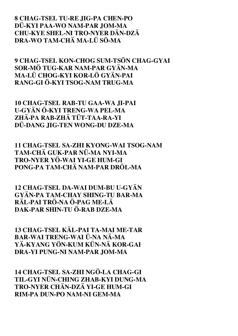#### **8 CHAG-TSEL TU-RE JIG-PA CHEN-PO DÜ-KYI PAA-WO NAM-PAR JOM-MA CHU-KYE SHEL-NI TRO-NYER DÄN-DZÄ DRA-WO TAM-CHÄ MA-LÜ SÖ-MA**

**9 CHAG-TSEL KON-CHOG SUM-TSÖN CHAG-GYAI SOR-MÖ TUG-KAR NAM-PAR GYÄN-MA MA-LÜ CHOG-KYI KOR-LÖ GYÄN-PAI RANG-GI Ö-KYI TSOG-NAM TRUG-MA** 

**10 CHAG-TSEL RAB-TU GAA-WA JI-PAI U-GYÄN Ö-KYI TRENG-WA PEL-MA ZHÄ-PA RAB-ZHÄ TÜT-TAA-RA-YI DÜ-DANG JIG-TEN WONG-DU DZE-MA** 

**11 CHAG-TSEL SA-ZHI KYONG-WAI TSOG-NAM TAM-CHÄ GUK-PAR NÜ-MA NYI-MA TRO-NYER YÖ-WAI YI-GE HUM-GI PONG-PA TAM-CHÄ NAM-PAR DRÖL-MA** 

**12 CHAG-TSEL DA-WAI DUM-BU U-GYÄN GYÄN-PA TAM-CHAY SHING-TU BAR-MA RÄL-PAI TRÖ-NA Ö-PAG ME-LÄ DAK-PAR SHIN-TU Ö-RAB DZE-MA** 

**13 CHAG-TSEL KÄL-PAI TA-MAI ME-TAR BAR-WAI TRENG-WAI Ü-NA NÄ-MA YÄ-KYANG YÖN-KUM KÜN-NÄ KOR-GAI DRA-YI PUNG-NI NAM-PAR JOM-MA** 

**14 CHAG-TSEL SA-ZHI NGÖ-LA CHAG-GI TIL-GYI NÜN-CHING ZHAB-KYI DUNG-MA TRO-NYER CHÄN-DZÄ YI-GE HUM-GI RIM-PA DUN-PO NAM-NI GEM-MA**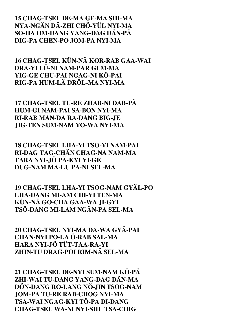#### **15 CHAG-TSEL DE-MA GE-MA SHI-MA NYA-NGÄN DÄ-ZHI CHÖ-YÜL NYI-MA SO-HA OM-DANG YANG-DAG DÄN-PÄ DIG-PA CHEN-PO JOM-PA NYI-MA**

**16 CHAG-TSEL KÜN-NÄ KOR-RAB GAA-WAI DRA-YI LÜ-NI NAM-PAR GEM-MA YIG-GE CHU-PAI NGAG-NI KÖ-PAI RIG-PA HUM-LÄ DRÖL-MA NYI-MA** 

**17 CHAG-TSEL TU-RE ZHAB-NI DAB-PÄ HUM-GI NAM-PAI SA-BON NYI-MA RI-RAB MAN-DA RA-DANG BIG-JE JIG-TEN SUM-NAM YO-WA NYI-MA** 

**18 CHAG-TSEL LHA-YI TSO-YI NAM-PAI RI-DAG TAG-CHÄN CHAG-NA NAM-MA TARA NYI-JÖ PÄ-KYI YI-GE DUG-NAM MA-LU PA-NI SEL-MA** 

**19 CHAG-TSEL LHA-YI TSOG-NAM GYÄL-PO LHA-DANG MI-AM CHI-YI TEN-MA KÜN-NÄ GO-CHA GAA-WA JI-GYI TSÖ-DANG MI-LAM NGÄN-PA SEL-MA** 

**20 CHAG-TSEL NYI-MA DA-WA GYÄ-PAI CHÄN-NYI PO-LA Ö-RAB SÄL-MA HARA NYI-JÖ TÜT-TAA-RA-YI ZHIN-TU DRAG-POI RIM-NÄ SEL-MA** 

**21 CHAG-TSEL DE-NYI SUM-NAM KÖ-PÄ ZHI-WAI TU-DANG YANG-DAG DÄN-MA DÖN-DANG RO-LANG NÖ-JIN TSOG-NAM JOM-PA TU-RE RAB-CHOG NYI-MA TSA-WAI NGAG-KYI TÖ-PA DI-DANG CHAG-TSEL WA-NI NYI-SHU TSA-CHIG**